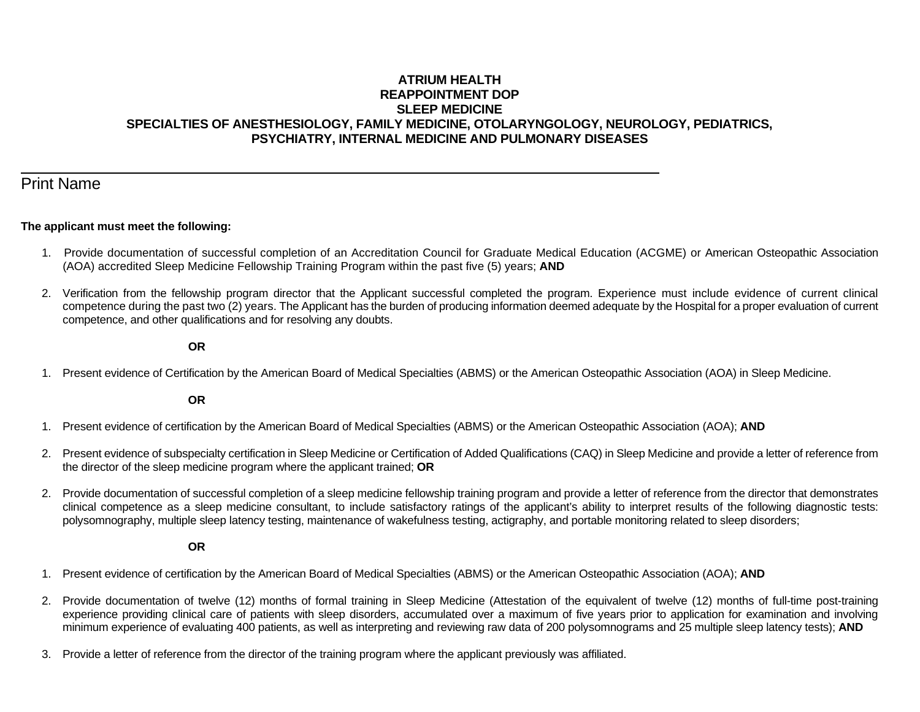## **ATRIUM HEALTH REAPPOINTMENT DOP SLEEP MEDICINE SPECIALTIES OF ANESTHESIOLOGY, FAMILY MEDICINE, OTOLARYNGOLOGY, NEUROLOGY, PEDIATRICS, PSYCHIATRY, INTERNAL MEDICINE AND PULMONARY DISEASES**

# Print Name

l

#### **The applicant must meet the following:**

- 1. Provide documentation of successful completion of an Accreditation Council for Graduate Medical Education (ACGME) or American Osteopathic Association (AOA) accredited Sleep Medicine Fellowship Training Program within the past five (5) years; **AND**
- 2. Verification from the fellowship program director that the Applicant successful completed the program. Experience must include evidence of current clinical competence during the past two (2) years. The Applicant has the burden of producing information deemed adequate by the Hospital for a proper evaluation of current competence, and other qualifications and for resolving any doubts.

#### **OR**

1. Present evidence of Certification by the American Board of Medical Specialties (ABMS) or the American Osteopathic Association (AOA) in Sleep Medicine.

**OR**

- 1. Present evidence of certification by the American Board of Medical Specialties (ABMS) or the American Osteopathic Association (AOA); **AND**
- 2. Present evidence of subspecialty certification in Sleep Medicine or Certification of Added Qualifications (CAQ) in Sleep Medicine and provide a letter of reference from the director of the sleep medicine program where the applicant trained; **OR**
- 2. Provide documentation of successful completion of a sleep medicine fellowship training program and provide a letter of reference from the director that demonstrates clinical competence as a sleep medicine consultant, to include satisfactory ratings of the applicant's ability to interpret results of the following diagnostic tests: polysomnography, multiple sleep latency testing, maintenance of wakefulness testing, actigraphy, and portable monitoring related to sleep disorders;

**OR**

- 1. Present evidence of certification by the American Board of Medical Specialties (ABMS) or the American Osteopathic Association (AOA); **AND**
- 2. Provide documentation of twelve (12) months of formal training in Sleep Medicine (Attestation of the equivalent of twelve (12) months of full-time post-training experience providing clinical care of patients with sleep disorders, accumulated over a maximum of five years prior to application for examination and involving minimum experience of evaluating 400 patients, as well as interpreting and reviewing raw data of 200 polysomnograms and 25 multiple sleep latency tests); **AND**
- 3. Provide a letter of reference from the director of the training program where the applicant previously was affiliated.